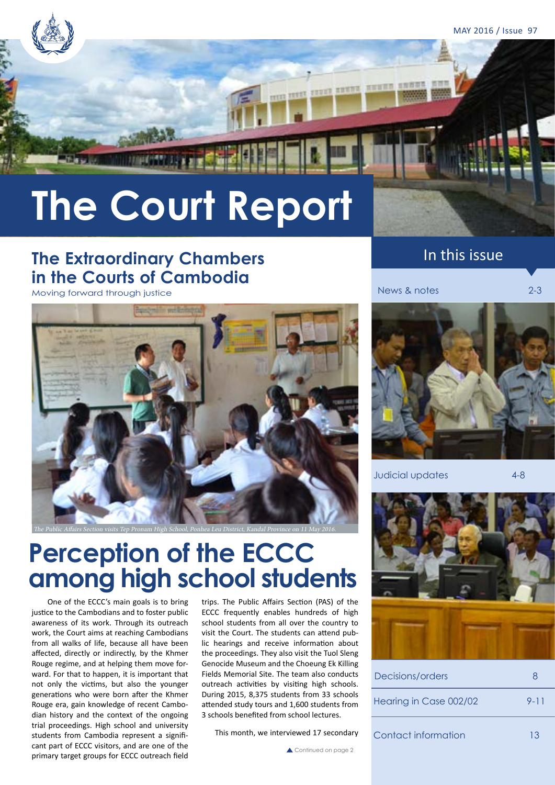MAY 2016 / Issue 97

# **The Court Report**

### **The Extraordinary Chambers in the Courts of Cambodia**

Moving forward through justice



The Public Affairs Section visits Tep Pronam High School, Ponhea Leu District, Kandal Province on 11 May 2016.

## **Perception of the ECCC among high school students**

 One of the ECCC's main goals is to bring justice to the Cambodians and to foster public awareness of its work. Through its outreach work, the Court aims at reaching Cambodians from all walks of life, because all have been affected, directly or indirectly, by the Khmer Rouge regime, and at helping them move forward. For that to happen, it is important that not only the victims, but also the younger generations who were born after the Khmer Rouge era, gain knowledge of recent Cambodian history and the context of the ongoing trial proceedings. High school and university students from Cambodia represent a significant part of ECCC visitors, and are one of the primary target groups for ECCC outreach field

trips. The Public Affairs Section (PAS) of the ECCC frequently enables hundreds of high school students from all over the country to visit the Court. The students can attend public hearings and receive information about the proceedings. They also visit the Tuol Sleng Genocide Museum and the Choeung Ek Killing Fields Memorial Site. The team also conducts outreach activities by visiting high schools. During 2015, 8,375 students from 33 schools attended study tours and 1,600 students from 3 schools benefited from school lectures.

This month, we interviewed 17 secondary

### In this issue

News & notes 2-3



Judicial updates 4-8



| Decisions/orders       |          |
|------------------------|----------|
| Hearing in Case 002/02 | $9 - 11$ |
| Contact information    | 13       |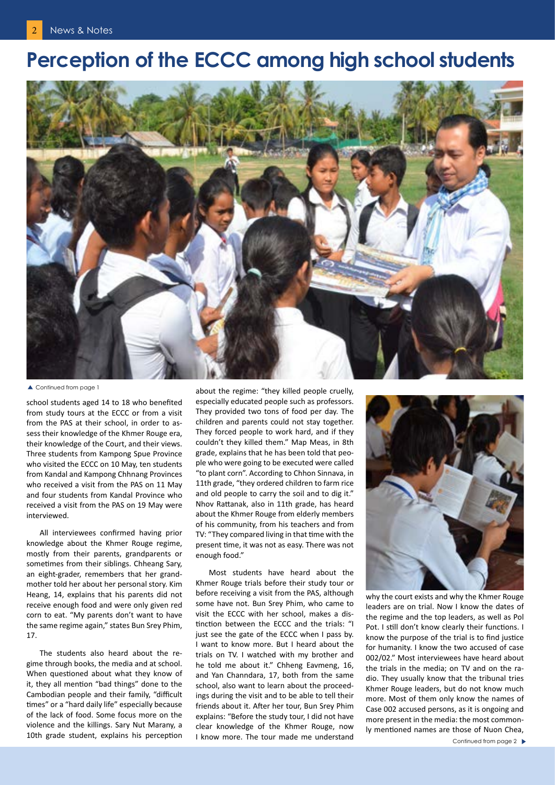### **Perception of the ECCC among high school students**



▲ Continued from page 1

school students aged 14 to 18 who benefited from study tours at the ECCC or from a visit from the PAS at their school, in order to assess their knowledge of the Khmer Rouge era, their knowledge of the Court, and their views. Three students from Kampong Spue Province who visited the ECCC on 10 May, ten students from Kandal and Kampong Chhnang Provinces who received a visit from the PAS on 11 May and four students from Kandal Province who received a visit from the PAS on 19 May were interviewed.

All interviewees confirmed having prior knowledge about the Khmer Rouge regime, mostly from their parents, grandparents or sometimes from their siblings. Chheang Sary, an eight-grader, remembers that her grandmother told her about her personal story. Kim Heang, 14, explains that his parents did not receive enough food and were only given red corn to eat. "My parents don't want to have the same regime again," states Bun Srey Phim, 17.

The students also heard about the regime through books, the media and at school. When questioned about what they know of it, they all mention "bad things" done to the Cambodian people and their family, "difficult times" or a "hard daily life" especially because of the lack of food. Some focus more on the violence and the killings. Sary Nut Marany, a 10th grade student, explains his perception

about the regime: "they killed people cruelly, especially educated people such as professors. They provided two tons of food per day. The children and parents could not stay together. They forced people to work hard, and if they couldn't they killed them." Map Meas, in 8th grade, explains that he has been told that people who were going to be executed were called "to plant corn". According to Chhon Sinnava, in 11th grade, "they ordered children to farm rice and old people to carry the soil and to dig it." Nhov Rattanak, also in 11th grade, has heard about the Khmer Rouge from elderly members of his community, from his teachers and from TV: "They compared living in that time with the present time, it was not as easy. There was not enough food."

Most students have heard about the Khmer Rouge trials before their study tour or before receiving a visit from the PAS, although some have not. Bun Srey Phim, who came to visit the ECCC with her school, makes a distinction between the ECCC and the trials: "I just see the gate of the ECCC when I pass by. I want to know more. But I heard about the trials on TV. I watched with my brother and he told me about it." Chheng Eavmeng, 16, and Yan Channdara, 17, both from the same school, also want to learn about the proceedings during the visit and to be able to tell their friends about it. After her tour, Bun Srey Phim explains: "Before the study tour, I did not have clear knowledge of the Khmer Rouge, now I know more. The tour made me understand



why the court exists and why the Khmer Rouge leaders are on trial. Now I know the dates of the regime and the top leaders, as well as Pol Pot. I still don't know clearly their functions. I know the purpose of the trial is to find justice for humanity. I know the two accused of case 002/02." Most interviewees have heard about the trials in the media; on TV and on the radio. They usually know that the tribunal tries Khmer Rouge leaders, but do not know much more. Most of them only know the names of Case 002 accused persons, as it is ongoing and more present in the media: the most commonly mentioned names are those of Nuon Chea,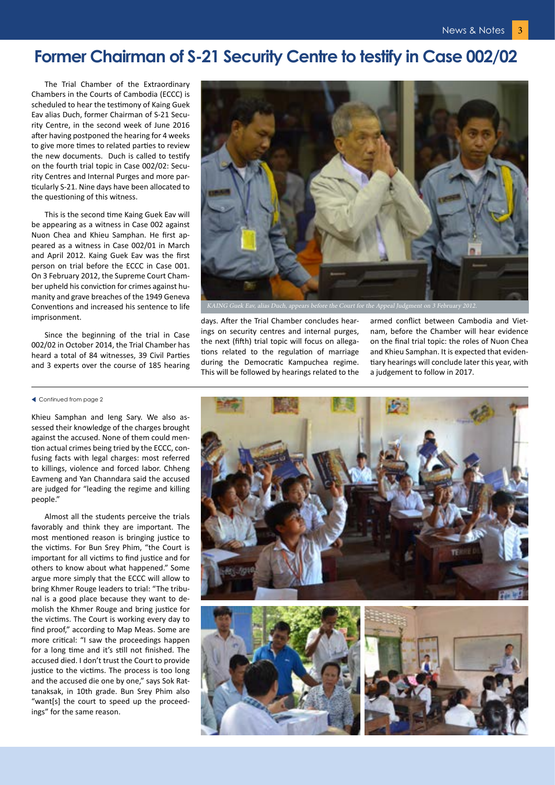### **Former Chairman of S-21 Security Centre to testify in Case 002/02**

The Trial Chamber of the Extraordinary Chambers in the Courts of Cambodia (ECCC) is scheduled to hear the testimony of Kaing Guek Eav alias Duch, former Chairman of S-21 Security Centre, in the second week of June 2016 after having postponed the hearing for 4 weeks to give more times to related parties to review the new documents. Duch is called to testify on the fourth trial topic in Case 002/02: Security Centres and Internal Purges and more particularly S-21. Nine days have been allocated to the questioning of this witness.

This is the second time Kaing Guek Eav will be appearing as a witness in Case 002 against Nuon Chea and Khieu Samphan. He first appeared as a witness in Case 002/01 in March and April 2012. Kaing Guek Eav was the first person on trial before the ECCC in Case 001. On 3 February 2012, the Supreme Court Chamber upheld his conviction for crimes against humanity and grave breaches of the 1949 Geneva Conventions and increased his sentence to life imprisonment.

Since the beginning of the trial in Case 002/02 in October 2014, the Trial Chamber has heard a total of 84 witnesses, 39 Civil Parties and 3 experts over the course of 185 hearing

#### Continued from page 2

Khieu Samphan and Ieng Sary. We also assessed their knowledge of the charges brought against the accused. None of them could mention actual crimes being tried by the ECCC, confusing facts with legal charges: most referred to killings, violence and forced labor. Chheng Eavmeng and Yan Channdara said the accused are judged for "leading the regime and killing people."

Almost all the students perceive the trials favorably and think they are important. The most mentioned reason is bringing justice to the victims. For Bun Srey Phim, "the Court is important for all victims to find justice and for others to know about what happened." Some argue more simply that the ECCC will allow to bring Khmer Rouge leaders to trial: "The tribunal is a good place because they want to demolish the Khmer Rouge and bring justice for the victims. The Court is working every day to find proof," according to Map Meas. Some are more critical: "I saw the proceedings happen for a long time and it's still not finished. The accused died. I don't trust the Court to provide justice to the victims. The process is too long and the accused die one by one," says Sok Rattanaksak, in 10th grade. Bun Srey Phim also "want[s] the court to speed up the proceedings" for the same reason.



days. After the Trial Chamber concludes hearings on security centres and internal purges, the next (fifth) trial topic will focus on allegations related to the regulation of marriage during the Democratic Kampuchea regime. This will be followed by hearings related to the

armed conflict between Cambodia and Vietnam, before the Chamber will hear evidence on the final trial topic: the roles of Nuon Chea and Khieu Samphan. It is expected that evidentiary hearings will conclude later this year, with a judgement to follow in 2017.

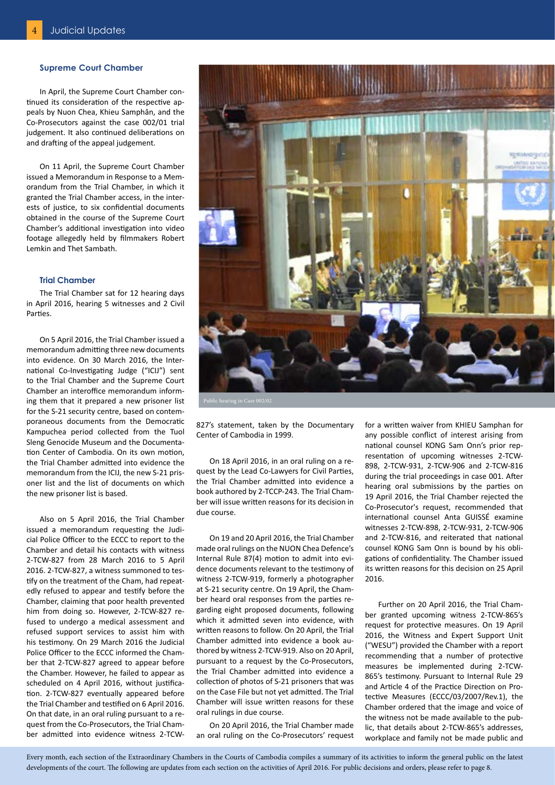#### **Supreme Court Chamber**

In April, the Supreme Court Chamber continued its consideration of the respective appeals by Nuon Chea, Khieu Samphân, and the Co-Prosecutors against the case 002/01 trial judgement. It also continued deliberations on and drafting of the appeal judgement.

On 11 April, the Supreme Court Chamber issued a Memorandum in Response to a Memorandum from the Trial Chamber, in which it granted the Trial Chamber access, in the interests of justice, to six confidential documents obtained in the course of the Supreme Court Chamber's additional investigation into video footage allegedly held by filmmakers Robert Lemkin and Thet Sambath.

#### **Trial Chamber**

The Trial Chamber sat for 12 hearing days in April 2016, hearing 5 witnesses and 2 Civil Parties.

On 5 April 2016, the Trial Chamber issued a memorandum admitting three new documents into evidence. On 30 March 2016, the International Co-Investigating Judge ("ICIJ") sent to the Trial Chamber and the Supreme Court Chamber an interoffice memorandum informing them that it prepared a new prisoner list for the S-21 security centre, based on contemporaneous documents from the Democratic Kampuchea period collected from the Tuol Sleng Genocide Museum and the Documentation Center of Cambodia. On its own motion, the Trial Chamber admitted into evidence the memorandum from the ICIJ, the new S-21 prisoner list and the list of documents on which the new prisoner list is based.

Also on 5 April 2016, the Trial Chamber issued a memorandum requesting the Judicial Police Officer to the ECCC to report to the Chamber and detail his contacts with witness 2-TCW-827 from 28 March 2016 to 5 April 2016. 2-TCW-827, a witness summoned to testify on the treatment of the Cham, had repeatedly refused to appear and testify before the Chamber, claiming that poor health prevented him from doing so. However, 2-TCW-827 refused to undergo a medical assessment and refused support services to assist him with his testimony. On 29 March 2016 the Judicial Police Officer to the ECCC informed the Chamber that 2-TCW-827 agreed to appear before the Chamber. However, he failed to appear as scheduled on 4 April 2016, without justification. 2-TCW-827 eventually appeared before the Trial Chamber and testified on 6 April 2016. On that date, in an oral ruling pursuant to a request from the Co-Prosecutors, the Trial Chamber admitted into evidence witness 2-TCW-



827's statement, taken by the Documentary Center of Cambodia in 1999.

On 18 April 2016, in an oral ruling on a request by the Lead Co-Lawyers for Civil Parties, the Trial Chamber admitted into evidence a book authored by 2-TCCP-243. The Trial Chamber will issue written reasons for its decision in due course.

On 19 and 20 April 2016, the Trial Chamber made oral rulings on the NUON Chea Defence's Internal Rule 87(4) motion to admit into evidence documents relevant to the testimony of witness 2-TCW-919, formerly a photographer at S-21 security centre. On 19 April, the Chamber heard oral responses from the parties regarding eight proposed documents, following which it admitted seven into evidence, with written reasons to follow. On 20 April, the Trial Chamber admitted into evidence a book authored by witness 2-TCW-919. Also on 20 April, pursuant to a request by the Co-Prosecutors, the Trial Chamber admitted into evidence a collection of photos of S-21 prisoners that was on the Case File but not yet admitted. The Trial Chamber will issue written reasons for these oral rulings in due course.

On 20 April 2016, the Trial Chamber made an oral ruling on the Co-Prosecutors' request for a written waiver from KHIEU Samphan for any possible conflict of interest arising from national counsel KONG Sam Onn's prior representation of upcoming witnesses 2-TCW-898, 2-TCW-931, 2-TCW-906 and 2-TCW-816 during the trial proceedings in case 001. After hearing oral submissions by the parties on 19 April 2016, the Trial Chamber rejected the Co-Prosecutor's request, recommended that international counsel Anta GUISSÉ examine witnesses 2-TCW-898, 2-TCW-931, 2-TCW-906 and 2-TCW-816, and reiterated that national counsel KONG Sam Onn is bound by his obligations of confidentiality. The Chamber issued its written reasons for this decision on 25 April 2016.

Further on 20 April 2016, the Trial Chamber granted upcoming witness 2-TCW-865's request for protective measures. On 19 April 2016, the Witness and Expert Support Unit ("WESU") provided the Chamber with a report recommending that a number of protective measures be implemented during 2-TCW-865's testimony. Pursuant to Internal Rule 29 and Article 4 of the Practice Direction on Protective Measures (ECCC/03/2007/Rev.1), the Chamber ordered that the image and voice of the witness not be made available to the public, that details about 2-TCW-865's addresses, workplace and family not be made public and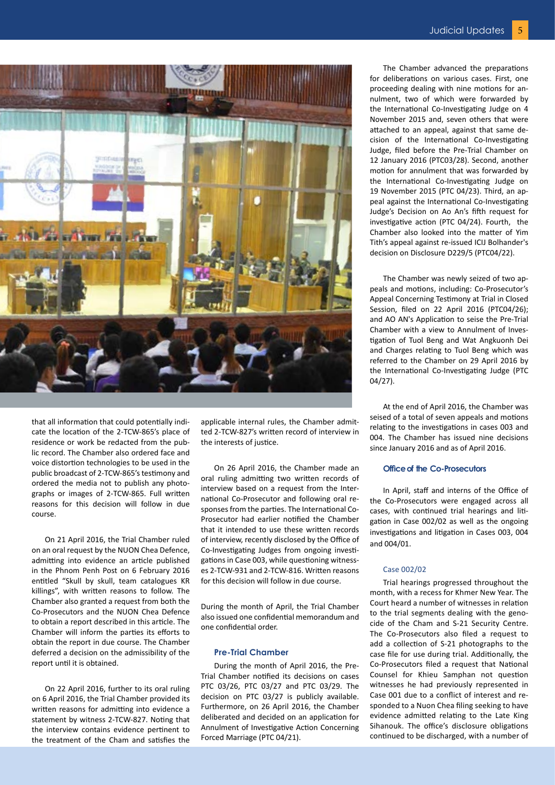

that all information that could potentially indicate the location of the 2-TCW-865's place of residence or work be redacted from the public record. The Chamber also ordered face and voice distortion technologies to be used in the public broadcast of 2-TCW-865's testimony and ordered the media not to publish any photographs or images of 2-TCW-865. Full written reasons for this decision will follow in due course.

On 21 April 2016, the Trial Chamber ruled on an oral request by the NUON Chea Defence, admitting into evidence an article published in the Phnom Penh Post on 6 February 2016 entitled "Skull by skull, team catalogues KR killings", with written reasons to follow. The Chamber also granted a request from both the Co-Prosecutors and the NUON Chea Defence to obtain a report described in this article. The Chamber will inform the parties its efforts to obtain the report in due course. The Chamber deferred a decision on the admissibility of the report until it is obtained.

On 22 April 2016, further to its oral ruling on 6 April 2016, the Trial Chamber provided its written reasons for admitting into evidence a statement by witness 2-TCW-827. Noting that the interview contains evidence pertinent to the treatment of the Cham and satisfies the applicable internal rules, the Chamber admitted 2-TCW-827's written record of interview in the interests of justice.

On 26 April 2016, the Chamber made an oral ruling admitting two written records of interview based on a request from the International Co-Prosecutor and following oral responses from the parties. The International Co-Prosecutor had earlier notified the Chamber that it intended to use these written records of interview, recently disclosed by the Office of Co-Investigating Judges from ongoing investigations in Case 003, while questioning witnesses 2-TCW-931 and 2-TCW-816. Written reasons for this decision will follow in due course.

During the month of April, the Trial Chamber also issued one confidential memorandum and one confidential order.

#### **Pre-Trial Chamber**

During the month of April 2016, the Pre-Trial Chamber notified its decisions on cases PTC 03/26, PTC 03/27 and PTC 03/29. The decision on PTC 03/27 is publicly available. Furthermore, on 26 April 2016, the Chamber deliberated and decided on an application for Annulment of Investigative Action Concerning Forced Marriage (PTC 04/21).

The Chamber advanced the preparations for deliberations on various cases. First, one proceeding dealing with nine motions for annulment, two of which were forwarded by the International Co-Investigating Judge on 4 November 2015 and, seven others that were attached to an appeal, against that same decision of the International Co-Investigating Judge, filed before the Pre-Trial Chamber on 12 January 2016 (PTC03/28). Second, another motion for annulment that was forwarded by the International Co-Investigating Judge on 19 November 2015 (PTC 04/23). Third, an appeal against the International Co-Investigating Judge's Decision on Ao An's fifth request for investigative action (PTC 04/24). Fourth, the Chamber also looked into the matter of Yim Tith's appeal against re-issued ICIJ Bolhander's decision on Disclosure D229/5 (PTC04/22).

The Chamber was newly seized of two appeals and motions, including: Co-Prosecutor's Appeal Concerning Testimony at Trial in Closed Session, filed on 22 April 2016 (PTC04/26); and AO AN's Application to seise the Pre-Trial Chamber with a view to Annulment of Investigation of Tuol Beng and Wat Angkuonh Dei and Charges relating to Tuol Beng which was referred to the Chamber on 29 April 2016 by the International Co-Investigating Judge (PTC 04/27).

At the end of April 2016, the Chamber was seised of a total of seven appeals and motions relating to the investigations in cases 003 and 004. The Chamber has issued nine decisions since January 2016 and as of April 2016.

#### **Office of the Co-Prosecutors**

In April, staff and interns of the Office of the Co-Prosecutors were engaged across all cases, with continued trial hearings and litigation in Case 002/02 as well as the ongoing investigations and litigation in Cases 003, 004 and 004/01.

#### Case 002/02

Trial hearings progressed throughout the month, with a recess for Khmer New Year. The Court heard a number of witnesses in relation to the trial segments dealing with the genocide of the Cham and S-21 Security Centre. The Co-Prosecutors also filed a request to add a collection of S-21 photographs to the case file for use during trial. Additionally, the Co-Prosecutors filed a request that National Counsel for Khieu Samphan not question witnesses he had previously represented in Case 001 due to a conflict of interest and responded to a Nuon Chea filing seeking to have evidence admitted relating to the Late King Sihanouk. The office's disclosure obligations continued to be discharged, with a number of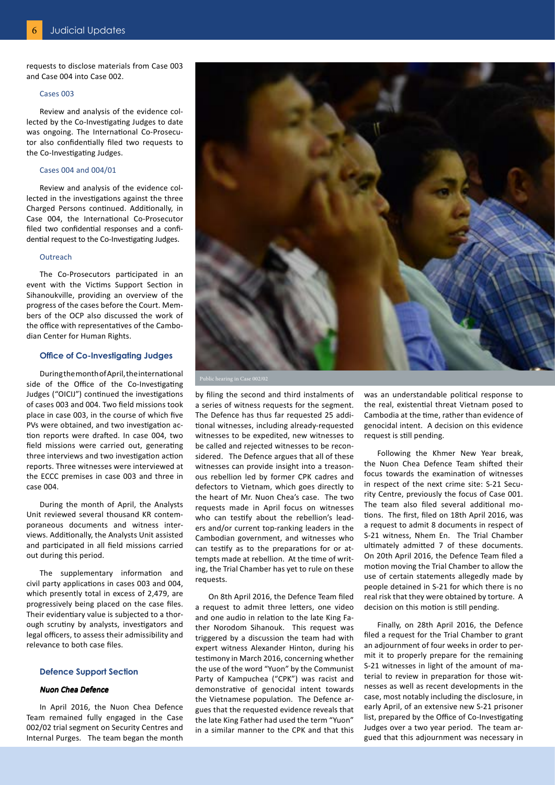requests to disclose materials from Case 003 and Case 004 into Case 002.

#### Cases 003

Review and analysis of the evidence collected by the Co-Investigating Judges to date was ongoing. The International Co-Prosecutor also confidentially filed two requests to the Co-Investigating Judges.

#### Cases 004 and 004/01

Review and analysis of the evidence collected in the investigations against the three Charged Persons continued. Additionally, in Case 004, the International Co-Prosecutor filed two confidential responses and a confidential request to the Co-Investigating Judges.

#### **Outreach**

The Co-Prosecutors participated in an event with the Victims Support Section in Sihanoukville, providing an overview of the progress of the cases before the Court. Members of the OCP also discussed the work of the office with representatives of the Cambodian Center for Human Rights.

#### **Office of Co-Investigating Judges**

During the month of April, the international side of the Office of the Co-Investigating Judges ("OICIJ") continued the investigations of cases 003 and 004. Two field missions took place in case 003, in the course of which five PVs were obtained, and two investigation action reports were drafted. In case 004, two field missions were carried out, generating three interviews and two investigation action reports. Three witnesses were interviewed at the ECCC premises in case 003 and three in case 004.

During the month of April, the Analysts Unit reviewed several thousand KR contemporaneous documents and witness interviews. Additionally, the Analysts Unit assisted and participated in all field missions carried out during this period.

The supplementary information and civil party applications in cases 003 and 004, which presently total in excess of 2,479, are progressively being placed on the case files. Their evidentiary value is subjected to a thorough scrutiny by analysts, investigators and legal officers, to assess their admissibility and relevance to both case files.

#### **Defence Support Section**

### Nuon Chea Defence

In April 2016, the Nuon Chea Defence Team remained fully engaged in the Case 002/02 trial segment on Security Centres and Internal Purges. The team began the month



by filing the second and third instalments of a series of witness requests for the segment. The Defence has thus far requested 25 additional witnesses, including already-requested witnesses to be expedited, new witnesses to be called and rejected witnesses to be reconsidered. The Defence argues that all of these witnesses can provide insight into a treasonous rebellion led by former CPK cadres and defectors to Vietnam, which goes directly to the heart of Mr. Nuon Chea's case. The two requests made in April focus on witnesses who can testify about the rebellion's leaders and/or current top-ranking leaders in the Cambodian government, and witnesses who can testify as to the preparations for or attempts made at rebellion. At the time of writing, the Trial Chamber has yet to rule on these requests.

On 8th April 2016, the Defence Team filed a request to admit three letters, one video and one audio in relation to the late King Father Norodom Sihanouk. This request was triggered by a discussion the team had with expert witness Alexander Hinton, during his testimony in March 2016, concerning whether the use of the word "Yuon" by the Communist Party of Kampuchea ("CPK") was racist and demonstrative of genocidal intent towards the Vietnamese population. The Defence argues that the requested evidence reveals that the late King Father had used the term "Yuon" in a similar manner to the CPK and that this

was an understandable political response to the real, existential threat Vietnam posed to Cambodia at the time, rather than evidence of genocidal intent. A decision on this evidence request is still pending.

Following the Khmer New Year break, the Nuon Chea Defence Team shifted their focus towards the examination of witnesses in respect of the next crime site: S-21 Security Centre, previously the focus of Case 001. The team also filed several additional motions. The first, filed on 18th April 2016, was a request to admit 8 documents in respect of S-21 witness, Nhem En. The Trial Chamber ultimately admitted 7 of these documents. On 20th April 2016, the Defence Team filed a motion moving the Trial Chamber to allow the use of certain statements allegedly made by people detained in S-21 for which there is no real risk that they were obtained by torture. A decision on this motion is still pending.

Finally, on 28th April 2016, the Defence filed a request for the Trial Chamber to grant an adjournment of four weeks in order to permit it to properly prepare for the remaining S-21 witnesses in light of the amount of material to review in preparation for those witnesses as well as recent developments in the case, most notably including the disclosure, in early April, of an extensive new S-21 prisoner list, prepared by the Office of Co-Investigating Judges over a two year period. The team argued that this adjournment was necessary in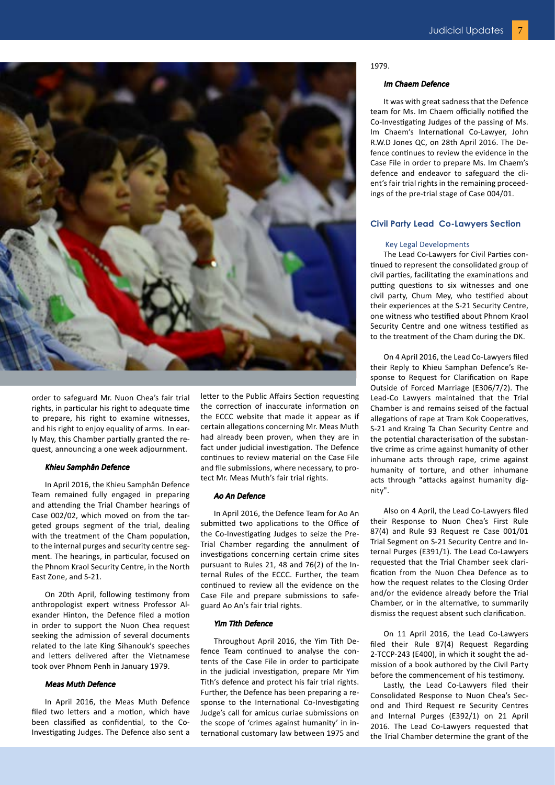

order to safeguard Mr. Nuon Chea's fair trial rights, in particular his right to adequate time to prepare, his right to examine witnesses, and his right to enjoy equality of arms. In early May, this Chamber partially granted the request, announcing a one week adjournment.

#### Khieu Samphân Defence

In April 2016, the Khieu Samphân Defence Team remained fully engaged in preparing and attending the Trial Chamber hearings of Case 002/02, which moved on from the targeted groups segment of the trial, dealing with the treatment of the Cham population, to the internal purges and security centre segment. The hearings, in particular, focused on the Phnom Kraol Security Centre, in the North East Zone, and S-21.

On 20th April, following testimony from anthropologist expert witness Professor Alexander Hinton, the Defence filed a motion in order to support the Nuon Chea request seeking the admission of several documents related to the late King Sihanouk's speeches and letters delivered after the Vietnamese took over Phnom Penh in January 1979.

#### Meas Muth Defence

In April 2016, the Meas Muth Defence filed two letters and a motion, which have been classified as confidential, to the Co-Investigating Judges. The Defence also sent a letter to the Public Affairs Section requesting the correction of inaccurate information on the ECCC website that made it appear as if certain allegations concerning Mr. Meas Muth had already been proven, when they are in fact under judicial investigation. The Defence continues to review material on the Case File and file submissions, where necessary, to protect Mr. Meas Muth's fair trial rights.

#### Ao An Defence

In April 2016, the Defence Team for Ao An submitted two applications to the Office of the Co-Investigating Judges to seize the Pre-Trial Chamber regarding the annulment of investigations concerning certain crime sites pursuant to Rules 21, 48 and 76(2) of the Internal Rules of the ECCC. Further, the team continued to review all the evidence on the Case File and prepare submissions to safeguard Ao An's fair trial rights.

#### Yim Tith Defence

Throughout April 2016, the Yim Tith Defence Team continued to analyse the contents of the Case File in order to participate in the judicial investigation, prepare Mr Yim Tith's defence and protect his fair trial rights. Further, the Defence has been preparing a response to the International Co-Investigating Judge's call for amicus curiae submissions on the scope of 'crimes against humanity' in international customary law between 1975 and

#### 1979.

#### Im Chaem Defence

It was with great sadness that the Defence team for Ms. Im Chaem officially notified the Co-Investigating Judges of the passing of Ms. Im Chaem's International Co-Lawyer, John R.W.D Jones QC, on 28th April 2016. The Defence continues to review the evidence in the Case File in order to prepare Ms. Im Chaem's defence and endeavor to safeguard the client's fair trial rights in the remaining proceedings of the pre-trial stage of Case 004/01.

#### **Civil Party Lead Co-Lawyers Section**

#### Key Legal Developments

The Lead Co-Lawyers for Civil Parties continued to represent the consolidated group of civil parties, facilitating the examinations and putting questions to six witnesses and one civil party, Chum Mey, who testified about their experiences at the S-21 Security Centre, one witness who testified about Phnom Kraol Security Centre and one witness testified as to the treatment of the Cham during the DK.

On 4 April 2016, the Lead Co-Lawyers filed their Reply to Khieu Samphan Defence's Response to Request for Clarification on Rape Outside of Forced Marriage (E306/7/2). The Lead-Co Lawyers maintained that the Trial Chamber is and remains seised of the factual allegations of rape at Tram Kok Cooperatives, S-21 and Kraing Ta Chan Security Centre and the potential characterisation of the substantive crime as crime against humanity of other inhumane acts through rape, crime against humanity of torture, and other inhumane acts through "attacks against humanity dignity".

Also on 4 April, the Lead Co-Lawyers filed their Response to Nuon Chea's First Rule 87(4) and Rule 93 Request re Case 001/01 Trial Segment on S-21 Security Centre and Internal Purges (E391/1). The Lead Co-Lawyers requested that the Trial Chamber seek clarification from the Nuon Chea Defence as to how the request relates to the Closing Order and/or the evidence already before the Trial Chamber, or in the alternative, to summarily dismiss the request absent such clarification.

On 11 April 2016, the Lead Co-Lawyers filed their Rule 87(4) Request Regarding 2-TCCP-243 (E400), in which it sought the admission of a book authored by the Civil Party before the commencement of his testimony.

Lastly, the Lead Co-Lawyers filed their Consolidated Response to Nuon Chea's Second and Third Request re Security Centres and Internal Purges (E392/1) on 21 April 2016. The Lead Co-Lawyers requested that the Trial Chamber determine the grant of the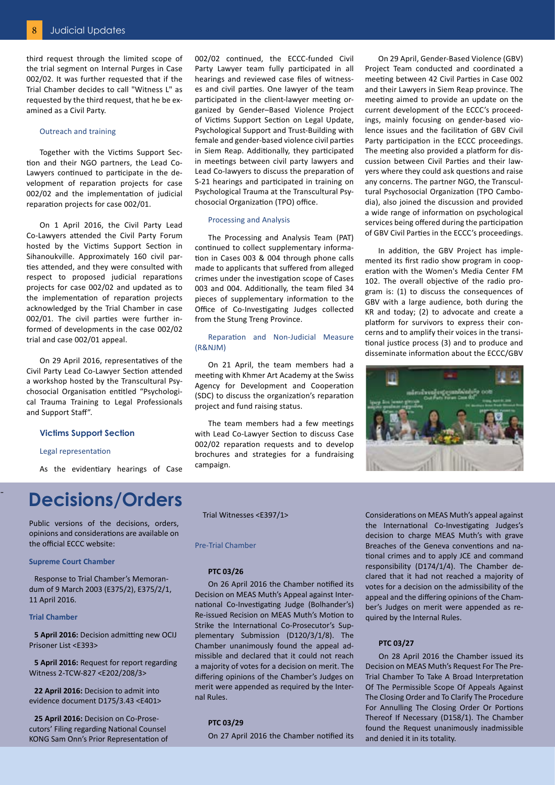third request through the limited scope of the trial segment on Internal Purges in Case 002/02. It was further requested that if the Trial Chamber decides to call "Witness L" as requested by the third request, that he be examined as a Civil Party.

#### Outreach and training

Together with the Victims Support Section and their NGO partners, the Lead Co-Lawyers continued to participate in the development of reparation projects for case 002/02 and the implementation of judicial reparation projects for case 002/01.

On 1 April 2016, the Civil Party Lead Co-Lawyers attended the Civil Party Forum hosted by the Victims Support Section in Sihanoukville. Approximately 160 civil parties attended, and they were consulted with respect to proposed judicial reparations projects for case 002/02 and updated as to the implementation of reparation projects acknowledged by the Trial Chamber in case 002/01. The civil parties were further informed of developments in the case 002/02 trial and case 002/01 appeal.

On 29 April 2016, representatives of the Civil Party Lead Co-Lawyer Section attended a workshop hosted by the Transcultural Psychosocial Organisation entitled "Psychological Trauma Training to Legal Professionals and Support Staff".

#### **Victims Support Section**

#### Legal representation

As the evidentiary hearings of Case

### **Decisions/Orders**

Public versions of the decisions, orders, opinions and considerations are available on the official ECCC website:

#### **Supreme Court Chamber**

Response to Trial Chamber's Memorandum of 9 March 2003 (E375/2), E375/2/1, 11 April 2016.

#### **Trial Chamber**

-

**5 April 2016:** Decision admitting new OCIJ Prisoner List <E393>

**5 April 2016:** Request for report regarding Witness 2-TCW-827 <E202/208/3>

**22 April 2016:** Decision to admit into evidence document D175/3.43 <E401>

**25 April 2016:** Decision on Co-Prosecutors' Filing regarding National Counsel KONG Sam Onn's Prior Representation of 002/02 continued, the ECCC-funded Civil Party Lawyer team fully participated in all hearings and reviewed case files of witnesses and civil parties. One lawyer of the team participated in the client-lawyer meeting organized by Gender–Based Violence Project of Victims Support Section on Legal Update, Psychological Support and Trust-Building with female and gender-based violence civil parties in Siem Reap. Additionally, they participated in meetings between civil party lawyers and Lead Co-lawyers to discuss the preparation of S-21 hearings and participated in training on Psychological Trauma at the Transcultural Psychosocial Organization (TPO) office.

#### Processing and Analysis

The Processing and Analysis Team (PAT) continued to collect supplementary information in Cases 003 & 004 through phone calls made to applicants that suffered from alleged crimes under the investigation scope of Cases 003 and 004. Additionally, the team filed 34 pieces of supplementary information to the Office of Co-Investigating Judges collected from the Stung Treng Province.

#### Reparation and Non-Judicial Measure (R&NJM)

On 21 April, the team members had a meeting with Khmer Art Academy at the Swiss Agency for Development and Cooperation (SDC) to discuss the organization's reparation project and fund raising status.

The team members had a few meetings with Lead Co-Lawyer Section to discuss Case 002/02 reparation requests and to develop brochures and strategies for a fundraising campaign.

On 29 April, Gender-Based Violence (GBV) Project Team conducted and coordinated a meeting between 42 Civil Parties in Case 002 and their Lawyers in Siem Reap province. The meeting aimed to provide an update on the current development of the ECCC's proceedings, mainly focusing on gender-based violence issues and the facilitation of GBV Civil Party participation in the ECCC proceedings. The meeting also provided a platform for discussion between Civil Parties and their lawyers where they could ask questions and raise any concerns. The partner NGO, the Transcultural Psychosocial Organization (TPO Cambodia), also joined the discussion and provided a wide range of information on psychological services being offered during the participation of GBV Civil Parties in the ECCC's proceedings.

In addition, the GBV Project has implemented its first radio show program in cooperation with the Women's Media Center FM 102. The overall objective of the radio program is: (1) to discuss the consequences of GBV with a large audience, both during the KR and today; (2) to advocate and create a platform for survivors to express their concerns and to amplify their voices in the transitional justice process (3) and to produce and disseminate information about the ECCC/GBV



Trial Witnesses <E397/1>

#### Pre-Trial Chamber

#### **PTC 03/26**

On 26 April 2016 the Chamber notified its Decision on MEAS Muth's Appeal against International Co-Investigating Judge (Bolhander's) Re-issued Recision on MEAS Muth's Motion to Strike the International Co-Prosecutor's Supplementary Submission (D120/3/1/8). The Chamber unanimously found the appeal admissible and declared that it could not reach a majority of votes for a decision on merit. The differing opinions of the Chamber's Judges on merit were appended as required by the Internal Rules.

#### **PTC 03/29**

On 27 April 2016 the Chamber notified its

Considerations on MEAS Muth's appeal against the International Co-Investigating Judges's decision to charge MEAS Muth's with grave Breaches of the Geneva conventions and national crimes and to apply JCE and command responsibility (D174/1/4). The Chamber declared that it had not reached a majority of votes for a decision on the admissibility of the appeal and the differing opinions of the Chamber's Judges on merit were appended as required by the Internal Rules.

#### **PTC 03/27**

On 28 April 2016 the Chamber issued its Decision on MEAS Muth's Request For The Pre-Trial Chamber To Take A Broad Interpretation Of The Permissible Scope Of Appeals Against The Closing Order and To Clarify The Procedure For Annulling The Closing Order Or Portions Thereof If Necessary (D158/1). The Chamber found the Request unanimously inadmissible and denied it in its totality.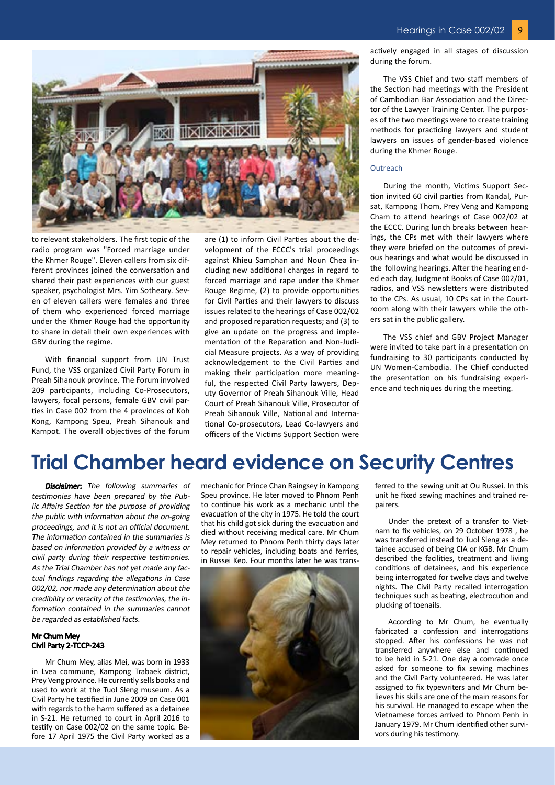

to relevant stakeholders. The first topic of the radio program was "Forced marriage under the Khmer Rouge". Eleven callers from six different provinces joined the conversation and shared their past experiences with our guest speaker, psychologist Mrs. Yim Sotheary. Seven of eleven callers were females and three of them who experienced forced marriage under the Khmer Rouge had the opportunity to share in detail their own experiences with GBV during the regime.

With financial support from UN Trust Fund, the VSS organized Civil Party Forum in Preah Sihanouk province. The Forum involved 209 participants, including Co-Prosecutors, lawyers, focal persons, female GBV civil parties in Case 002 from the 4 provinces of Koh Kong, Kampong Speu, Preah Sihanouk and Kampot. The overall objectives of the forum

are (1) to inform Civil Parties about the development of the ECCC's trial proceedings against Khieu Samphan and Noun Chea including new additional charges in regard to forced marriage and rape under the Khmer Rouge Regime, (2) to provide opportunities for Civil Parties and their lawyers to discuss issues related to the hearings of Case 002/02 and proposed reparation requests; and (3) to give an update on the progress and implementation of the Reparation and Non-Judicial Measure projects. As a way of providing acknowledgement to the Civil Parties and making their participation more meaningful, the respected Civil Party lawyers, Deputy Governor of Preah Sihanouk Ville, Head Court of Preah Sihanouk Ville, Prosecutor of Preah Sihanouk Ville, National and International Co-prosecutors, Lead Co-lawyers and officers of the Victims Support Section were actively engaged in all stages of discussion during the forum.

The VSS Chief and two staff members of the Section had meetings with the President of Cambodian Bar Association and the Director of the Lawyer Training Center. The purposes of the two meetings were to create training methods for practicing lawyers and student lawyers on issues of gender-based violence during the Khmer Rouge.

#### Outreach

During the month, Victims Support Section invited 60 civil parties from Kandal, Pursat, Kampong Thom, Prey Veng and Kampong Cham to attend hearings of Case 002/02 at the ECCC. During lunch breaks between hearings, the CPs met with their lawyers where they were briefed on the outcomes of previous hearings and what would be discussed in the following hearings. After the hearing ended each day, Judgment Books of Case 002/01, radios, and VSS newsletters were distributed to the CPs. As usual, 10 CPs sat in the Courtroom along with their lawyers while the others sat in the public gallery.

The VSS chief and GBV Project Manager were invited to take part in a presentation on fundraising to 30 participants conducted by UN Women-Cambodia. The Chief conducted the presentation on his fundraising experience and techniques during the meeting.

### **Trial Chamber heard evidence on Security Centres**

**Disclaimer:** The following summaries of testimonies have been prepared by the Public Affairs Section for the purpose of providing the public with information about the on-going proceedings, and it is not an official document. The information contained in the summaries is based on information provided by a witness or civil party during their respective testimonies. As the Trial Chamber has not yet made any factual findings regarding the allegations in Case 002/02, nor made any determination about the credibility or veracity of the testimonies, the information contained in the summaries cannot be regarded as established facts.

#### Mr Chum Mey Civil Party 2-TCCP-243

Mr Chum Mey, alias Mei, was born in 1933 in Lvea commune, Kampong Trabaek district, Prey Veng province. He currently sells books and used to work at the Tuol Sleng museum. As a Civil Party he testified in June 2009 on Case 001 with regards to the harm suffered as a detainee in S-21. He returned to court in April 2016 to testify on Case 002/02 on the same topic. Before 17 April 1975 the Civil Party worked as a

mechanic for Prince Chan Raingsey in Kampong Speu province. He later moved to Phnom Penh to continue his work as a mechanic until the evacuation of the city in 1975. He told the court that his child got sick during the evacuation and died without receiving medical care. Mr Chum Mey returned to Phnom Penh thirty days later to repair vehicles, including boats and ferries, in Russei Keo. Four months later he was trans-



ferred to the sewing unit at Ou Russei. In this unit he fixed sewing machines and trained repairers.

Under the pretext of a transfer to Vietnam to fix vehicles, on 29 October 1978 , he was transferred instead to Tuol Sleng as a detainee accused of being CIA or KGB. Mr Chum described the facilities, treatment and living conditions of detainees, and his experience being interrogated for twelve days and twelve nights. The Civil Party recalled interrogation techniques such as beating, electrocution and plucking of toenails.

According to Mr Chum, he eventually fabricated a confession and interrogations stopped. After his confessions he was not transferred anywhere else and continued to be held in S-21. One day a comrade once asked for someone to fix sewing machines and the Civil Party volunteered. He was later assigned to fix typewriters and Mr Chum believes his skills are one of the main reasons for his survival. He managed to escape when the Vietnamese forces arrived to Phnom Penh in January 1979. Mr Chum identified other survivors during his testimony.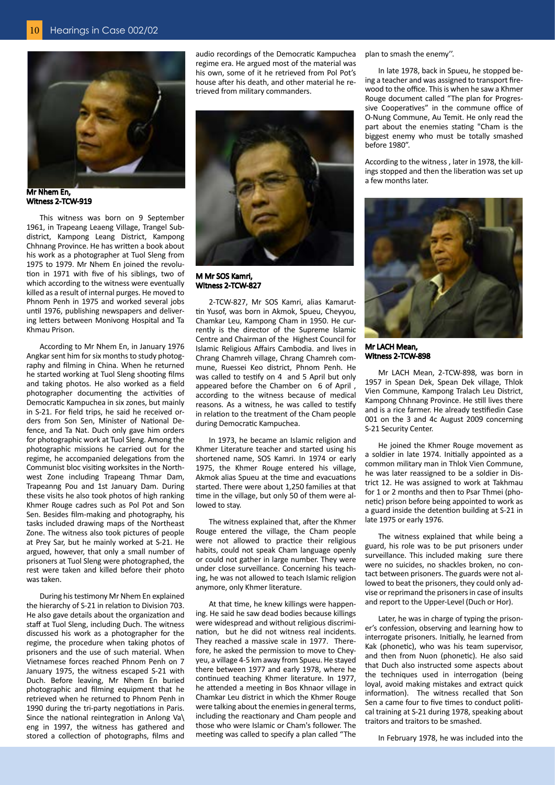

Mr Nhem En, Witness 2-TCW-919

This witness was born on 9 September 1961, in Trapeang Leaeng Village, Trangel Subdistrict, Kampong Leang District, Kampong Chhnang Province. He has written a book about his work as a photographer at Tuol Sleng from 1975 to 1979. Mr Nhem En joined the revolution in 1971 with five of his siblings, two of which according to the witness were eventually killed as a result of internal purges. He moved to Phnom Penh in 1975 and worked several jobs until 1976, publishing newspapers and delivering letters between Monivong Hospital and Ta Khmau Prison.

According to Mr Nhem En, in January 1976 Angkar sent him for six months to study photography and filming in China. When he returned he started working at Tuol Sleng shooting films and taking photos. He also worked as a field photographer documenting the activities of Democratic Kampuchea in six zones, but mainly in S-21. For field trips, he said he received orders from Son Sen, Minister of National Defence, and Ta Nat. Duch only gave him orders for photographic work at Tuol Sleng. Among the photographic missions he carried out for the regime, he accompanied delegations from the Communist bloc visiting worksites in the Northwest Zone including Trapeang Thmar Dam, Trapeanng Pou and 1st January Dam. During these visits he also took photos of high ranking Khmer Rouge cadres such as Pol Pot and Son Sen. Besides film-making and photography, his tasks included drawing maps of the Northeast Zone. The witness also took pictures of people at Prey Sar, but he mainly worked at S-21. He argued, however, that only a small number of prisoners at Tuol Sleng were photographed, the rest were taken and killed before their photo was taken.

During his testimony Mr Nhem En explained the hierarchy of S-21 in relation to Division 703. He also gave details about the organization and staff at Tuol Sleng, including Duch. The witness discussed his work as a photographer for the regime, the procedure when taking photos of prisoners and the use of such material. When Vietnamese forces reached Phnom Penh on 7 January 1975, the witness escaped S-21 with Duch. Before leaving, Mr Nhem En buried photographic and filming equipment that he retrieved when he returned to Phnom Penh in 1990 during the tri-party negotiations in Paris. Since the national reintegration in Anlong Va\ eng in 1997, the witness has gathered and stored a collection of photographs, films and

audio recordings of the Democratic Kampuchea regime era. He argued most of the material was his own, some of it he retrieved from Pol Pot's house after his death, and other material he retrieved from military commanders.



M Mr SOS Kamri, Witness 2-TCW-827

2-TCW-827, Mr SOS Kamri, alias Kamaruttin Yusof, was born in Akmok, Spueu, Cheyyou, Chamkar Leu, Kampong Cham in 1950. He currently is the director of the Supreme Islamic Centre and Chairman of the Highest Council for Islamic Religious Affairs Cambodia. and lives in Chrang Chamreh village, Chrang Chamreh commune, Ruessei Keo district, Phnom Penh. He was called to testify on 4 and 5 April but only appeared before the Chamber on 6 of April , according to the witness because of medical reasons. As a witness, he was called to testify in relation to the treatment of the Cham people during Democratic Kampuchea.

In 1973, he became an Islamic religion and Khmer Literature teacher and started using his shortened name, SOS Kamri. In 1974 or early 1975, the Khmer Rouge entered his village, Akmok alias Spueu at the time and evacuations started. There were about 1,250 families at that time in the village, but only 50 of them were allowed to stay.

The witness explained that, after the Khmer Rouge entered the village, the Cham people were not allowed to practice their religious habits, could not speak Cham language openly or could not gather in large number. They were under close surveillance. Concerning his teaching, he was not allowed to teach Islamic religion anymore, only Khmer literature.

At that time, he knew killings were happening. He said he saw dead bodies because killings were widespread and without religious discrimination, but he did not witness real incidents. They reached a massive scale in 1977. Therefore, he asked the permission to move to Cheyyeu, a village 4-5 km away from Spueu. He stayed there between 1977 and early 1978, where he continued teaching Khmer literature. In 1977, he attended a meeting in Bos Khnaor village in Chamkar Leu district in which the Khmer Rouge were talking about the enemies in general terms, including the reactionary and Cham people and those who were Islamic or Cham's follower. The meeting was called to specify a plan called "The

plan to smash the enemy''.

In late 1978, back in Spueu, he stopped being a teacher and was assigned to transport firewood to the office. This is when he saw a Khmer Rouge document called "The plan for Progressive Cooperatives" in the commune office of O-Nung Commune, Au Temit. He only read the part about the enemies stating "Cham is the biggest enemy who must be totally smashed before 1980".

According to the witness , later in 1978, the killings stopped and then the liberation was set up a few months later.



Mr LACH Mean, Witness 2-TCW-898

Mr LACH Mean, 2-TCW-898, was born in 1957 in Spean Dek, Spean Dek village, Thlok Vien Commune, Kampong Tralach Leu District, Kampong Chhnang Province. He still lives there and is a rice farmer. He already testifiedin Case 001 on the 3 and 4c August 2009 concerning S-21 Security Center.

He joined the Khmer Rouge movement as a soldier in late 1974. Initially appointed as a common military man in Thlok Vien Commune, he was later reassigned to be a soldier in District 12. He was assigned to work at Takhmau for 1 or 2 months and then to Psar Thmei (phonetic) prison before being appointed to work as a guard inside the detention building at S-21 in late 1975 or early 1976.

The witness explained that while being a guard, his role was to be put prisoners under surveillance. This included making sure there were no suicides, no shackles broken, no contact between prisoners. The guards were not allowed to beat the prisoners, they could only advise or reprimand the prisoners in case of insults and report to the Upper-Level (Duch or Hor).

Later, he was in charge of typing the prisoner's confession, observing and learning how to interrogate prisoners. Initially, he learned from Kak (phonetic), who was his team supervisor, and then from Nuon (phonetic). He also said that Duch also instructed some aspects about the techniques used in interrogation (being loyal, avoid making mistakes and extract quick information). The witness recalled that Son Sen a came four to five times to conduct political training at S-21 during 1978, speaking about traitors and traitors to be smashed.

In February 1978, he was included into the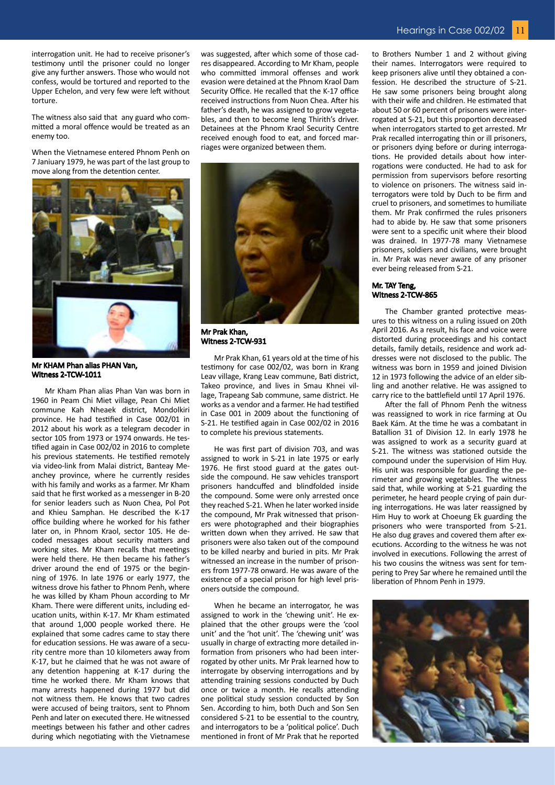interrogation unit. He had to receive prisoner's testimony until the prisoner could no longer give any further answers. Those who would not confess, would be tortured and reported to the Upper Echelon, and very few were left without torture.

The witness also said that any guard who committed a moral offence would be treated as an enemy too.

When the Vietnamese entered Phnom Penh on 7 Janiuary 1979, he was part of the last group to move along from the detention center.

was suggested, after which some of those cadres disappeared. According to Mr Kham, people who committed immoral offenses and work evasion were detained at the Phnom Kraol Dam Security Office. He recalled that the K-17 office received instructions from Nuon Chea. After his father's death, he was assigned to grow vegetables, and then to become Ieng Thirith's driver. Detainees at the Phnom Kraol Security Centre received enough food to eat, and forced marriages were organized between them.



Mr Prak Khan, Witness 2-TCW-931

Mr Prak Khan, 61 years old at the time of his testimony for case 002/02, was born in Krang Leav village, Krang Leav commune, Bati district, Takeo province, and lives in Smau Khnei village, Trapeang Sab commune, same district. He works as a vendor and a farmer. He had testified in Case 001 in 2009 about the functioning of S-21. He testified again in Case 002/02 in 2016 to complete his previous statements.

He was first part of division 703, and was assigned to work in S-21 in late 1975 or early 1976. He first stood guard at the gates outside the compound. He saw vehicles transport prisoners handcuffed and blindfolded inside the compound. Some were only arrested once they reached S-21. When he later worked inside the compound, Mr Prak witnessed that prisoners were photographed and their biographies written down when they arrived. He saw that prisoners were also taken out of the compound to be killed nearby and buried in pits. Mr Prak witnessed an increase in the number of prisoners from 1977-78 onward. He was aware of the existence of a special prison for high level prisoners outside the compound.

When he became an interrogator, he was assigned to work in the 'chewing unit'. He explained that the other groups were the 'cool unit' and the 'hot unit'. The 'chewing unit' was usually in charge of extracting more detailed information from prisoners who had been interrogated by other units. Mr Prak learned how to interrogate by observing interrogations and by attending training sessions conducted by Duch once or twice a month. He recalls attending one political study session conducted by Son Sen. According to him, both Duch and Son Sen considered S-21 to be essential to the country, and interrogators to be a 'political police'. Duch mentioned in front of Mr Prak that he reported

to Brothers Number 1 and 2 without giving their names. Interrogators were required to keep prisoners alive until they obtained a confession. He described the structure of S-21. He saw some prisoners being brought along with their wife and children. He estimated that about 50 or 60 percent of prisoners were interrogated at S-21, but this proportion decreased when interrogators started to get arrested. Mr Prak recalled interrogating thin or ill prisoners, or prisoners dying before or during interrogations. He provided details about how interrogations were conducted. He had to ask for permission from supervisors before resorting to violence on prisoners. The witness said interrogators were told by Duch to be firm and cruel to prisoners, and sometimes to humiliate them. Mr Prak confirmed the rules prisoners had to abide by. He saw that some prisoners were sent to a specific unit where their blood was drained. In 1977-78 many Vietnamese prisoners, soldiers and civilians, were brought in. Mr Prak was never aware of any prisoner ever being released from S-21.

#### Mr. TAY Teng, Witness 2-TCW-865

The Chamber granted protective measures to this witness on a ruling issued on 20th April 2016. As a result, his face and voice were distorted during proceedings and his contact details, family details, residence and work addresses were not disclosed to the public. The witness was born in 1959 and joined Division 12 in 1973 following the advice of an elder sibling and another relative. He was assigned to carry rice to the battlefield until 17 April 1976.

After the fall of Phnom Penh the witness was reassigned to work in rice farming at Ou Baek Kám. At the time he was a combatant in Batallion 31 of Division 12. In early 1978 he was assigned to work as a security guard at S-21. The witness was stationed outside the compound under the supervision of Him Huy. His unit was responsible for guarding the perimeter and growing vegetables. The witness said that, while working at S-21 guarding the perimeter, he heard people crying of pain during interrogations. He was later reassigned by Him Huy to work at Choeung Ek guarding the prisoners who were transported from S-21. He also dug graves and covered them after executions. According to the witness he was not involved in executions. Following the arrest of his two cousins the witness was sent for tempering to Prey Sar where he remained until the liberation of Phnom Penh in 1979.





Mr Kham Phan alias Phan Van was born in 1960 in Peam Chi Miet village, Pean Chi Miet commune Kah Nheaek district, Mondolkiri province. He had testified in Case 002/01 in 2012 about his work as a telegram decoder in sector 105 from 1973 or 1974 onwards. He testified again in Case 002/02 in 2016 to complete his previous statements. He testified remotely via video-link from Malai district, Banteay Meanchey province, where he currently resides with his family and works as a farmer. Mr Kham said that he first worked as a messenger in B-20 for senior leaders such as Nuon Chea, Pol Pot and Khieu Samphan. He described the K-17 office building where he worked for his father later on, in Phnom Kraol, sector 105. He decoded messages about security matters and working sites. Mr Kham recalls that meetings were held there. He then became his father's driver around the end of 1975 or the beginning of 1976. In late 1976 or early 1977, the witness drove his father to Phnom Penh, where he was killed by Kham Phoun according to Mr Kham. There were different units, including education units, within K-17. Mr Kham estimated that around 1,000 people worked there. He explained that some cadres came to stay there for education sessions. He was aware of a security centre more than 10 kilometers away from K-17, but he claimed that he was not aware of any detention happening at K-17 during the time he worked there. Mr Kham knows that many arrests happened during 1977 but did not witness them. He knows that two cadres were accused of being traitors, sent to Phnom Penh and later on executed there. He witnessed meetings between his father and other cadres during which negotiating with the Vietnamese

Mr KHAM Phan alias PHAN Van,

Witness 2-TCW-1011